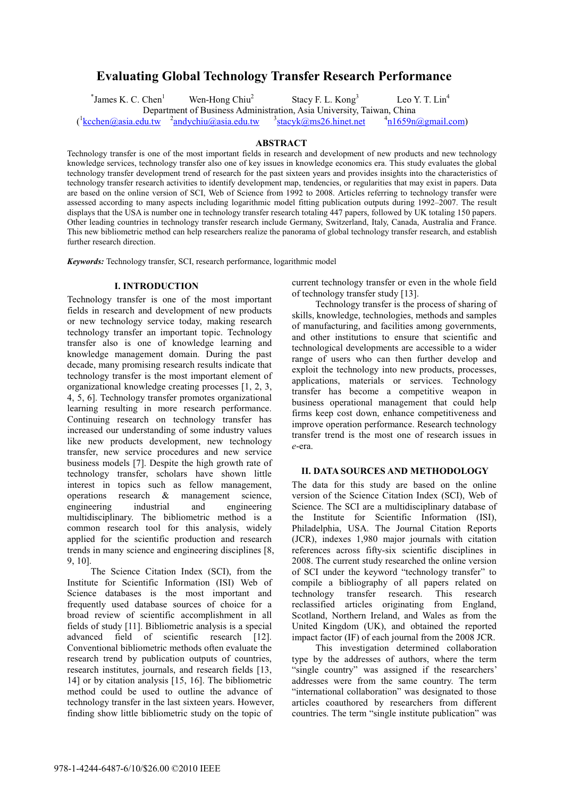# **Evaluating Global Technology Transfer Research Performance**

 $*$ James K. C. Chen $<sup>1</sup>$ </sup>

Stacy F. L. Kong<sup>3</sup>

 $3$ stacyk $\omega$ ms26.hinet.net

Leo Y. T.  $Lin<sup>4</sup>$ 

 $\left(\frac{1}{\text{kechen}\omega}\right)$ asia.edu.tw  $\frac{2}{\text{andychiu}\omega}\right)$ asia.edu.tw  $\frac{3}{\omega}$ 

Department of Business Administration, Asia University, Taiwan, China

 $n_{1659n@gmail.com}$ 

**ABSTRACT**<br>Technology transfer is one of the most important fields in research and development of new products and new technology knowledge services, technology transfer also one of key issues in knowledge economics era. This study evaluates the global technology transfer development trend of research for the past sixteen years and provides insights into the characteristics of technology transfer research activities to identify development map, tendencies, or regularities that may exist in papers. Data are based on the online version of SCI, Web of Science from 1992 to 2008. Articles referring to technology transfer were assessed according to many aspects including logarithmic model fitting publication outputs during 1992–2007. The result displays that the USA is number one in technology transfer research totaling 447 papers, followed by UK totaling 150 papers. Other leading countries in technology transfer research include Germany, Switzerland, Italy, Canada, Australia and France. This new bibliometric method can help researchers realize the panorama of global technology transfer research, and establish further research direction.

*Keywords:* Technology transfer, SCI, research performance, logarithmic model

Wen-Hong Chiu<sup>2</sup>

**I. INTRODUCTION**  Technology transfer is one of the most important fields in research and development of new products or new technology service today, making research technology transfer an important topic. Technology transfer also is one of knowledge learning and knowledge management domain. During the past decade, many promising research results indicate that technology transfer is the most important element of organizational knowledge creating processes [1, 2, 3, 4, 5, 6]. Technology transfer promotes organizational learning resulting in more research performance. Continuing research on technology transfer has increased our understanding of some industry values like new products development, new technology transfer, new service procedures and new service business models [7]. Despite the high growth rate of technology transfer, scholars have shown little interest in topics such as fellow management, operations research & management science, engineering industrial and engineering multidisciplinary. The bibliometric method is a common research tool for this analysis, widely applied for the scientific production and research trends in many science and engineering disciplines [8, 9, 10].

The Science Citation Index (SCI), from the Institute for Scientific Information (ISI) Web of Science databases is the most important and frequently used database sources of choice for a broad review of scientific accomplishment in all fields of study [11]. Bibliometric analysis is a special advanced field of scientific research [12]. Conventional bibliometric methods often evaluate the research trend by publication outputs of countries, research institutes, journals, and research fields [13, 14] or by citation analysis [15, 16]. The bibliometric method could be used to outline the advance of technology transfer in the last sixteen years. However, finding show little bibliometric study on the topic of

current technology transfer or even in the whole field of technology transfer study [13].

Technology transfer is the process of sharing of skills, knowledge, technologies, methods and samples of manufacturing, and facilities among governments, and other institutions to ensure that scientific and technological developments are accessible to a wider range of users who can then further develop and exploit the technology into new products, processes, applications, materials or services. Technology transfer has become a competitive weapon in business operational management that could help firms keep cost down, enhance competitiveness and improve operation performance. Research technology transfer trend is the most one of research issues in *e*-era.

## **II. DATA SOURCES AND METHODOLOGY**

**II. DESCRIPCING SOURCES AND METHODOLOGY CONSUMER** version of the Science Citation Index (SCI), Web of Science. The SCI are a multidisciplinary database of the Institute for Scientific Information (ISI), Philadelphia, USA. The Journal Citation Reports (JCR), indexes 1,980 major journals with citation references across fifty-six scientific disciplines in 2008. The current study researched the online version of SCI under the keyword "technology transfer" to compile a bibliography of all papers related on technology transfer research. This research reclassified articles originating from England, Scotland, Northern Ireland, and Wales as from the United Kingdom (UK), and obtained the reported impact factor (IF) of each journal from the 2008 JCR.

This investigation determined collaboration type by the addresses of authors, where the term "single country" was assigned if the researchers' addresses were from the same country. The term "international collaboration" was designated to those articles coauthored by researchers from different countries. The term "single institute publication" was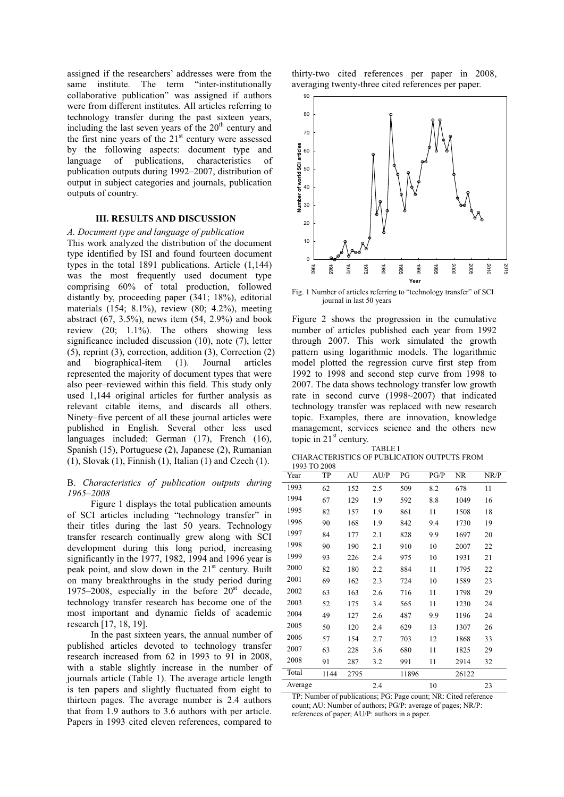assigned if the researchers' addresses were from the same institute. The term "inter-institutionally collaborative publication" was assigned if authors were from different institutes. All articles referring to technology transfer during the past sixteen years, including the last seven years of the  $20<sup>th</sup>$  century and the first nine years of the  $21<sup>st</sup>$  century were assessed by the following aspects: document type and language of publications, characteristics of publication outputs during 1992–2007, distribution of output in subject categories and journals, publication outputs of country.

#### **III. RESULTS AND DISCUSSION**

**III. RESULTS AND DISCUSSION**  *A. Document type and language of publication*  This work analyzed the distribution of the document type identified by ISI and found fourteen document types in the total 1891 publications. Article (1,144) was the most frequently used document type comprising 60% of total production, followed distantly by, proceeding paper (341; 18%), editorial materials (154; 8.1%), review (80; 4.2%), meeting abstract  $(67, 3.5\%)$ , news item  $(54, 2.9\%)$  and book review (20; 1.1%). The others showing less significance included discussion (10), note (7), letter (5), reprint (3), correction, addition (3), Correction (2) and biographical-item (1). Journal articles represented the majority of document types that were also peer–reviewed within this field. This study only used 1,144 original articles for further analysis as relevant citable items, and discards all others. Ninety–five percent of all these journal articles were published in English. Several other less used languages included: German (17), French (16), Spanish (15), Portuguese (2), Japanese (2), Rumanian (1), Slovak (1), Finnish (1), Italian (1) and Czech (1).

### B. *Characteristics of publication outputs during 1965–2008*

Figure 1 displays the total publication amounts of SCI articles including "technology transfer" in their titles during the last 50 years. Technology transfer research continually grew along with SCI development during this long period, increasing significantly in the 1977, 1982, 1994 and 1996 year is peak point, and slow down in the  $21<sup>st</sup>$  century. Built on many breakthroughs in the study period during 1975–2008, especially in the before  $20<sup>st</sup>$  decade, technology transfer research has become one of the most important and dynamic fields of academic research [17, 18, 19].

In the past sixteen years, the annual number of published articles devoted to technology transfer research increased from 62 in 1993 to 91 in 2008, with a stable slightly increase in the number of journals article (Table 1). The average article length is ten papers and slightly fluctuated from eight to thirteen pages. The average number is 2.4 authors that from 1.9 authors to 3.6 authors with per article. Papers in 1993 cited eleven references, compared to

thirty-two cited references per paper in 2008, averaging twenty-three cited references per paper.



Fig. 1 Number of articles referring to "technology transfer" of SCI journal in last 50 years

Figure 2 shows the progression in the cumulative number of articles published each year from 1992 through 2007. This work simulated the growth pattern using logarithmic models. The logarithmic model plotted the regression curve first step from 1992 to 1998 and second step curve from 1998 to 2007. The data shows technology transfer low growth rate in second curve (1998~2007) that indicated technology transfer was replaced with new research topic. Examples, there are innovation, knowledge management, services science and the others new topic in 21<sup>st</sup> century. TABLE I

| 1731212 L                                   |
|---------------------------------------------|
| CHARACTERISTICS OF PUBLICATION OUTPUTS FROM |
| $1002 \text{ to } 200$                      |

| 1993 TO 2008 |      |      |      |       |      |           |      |
|--------------|------|------|------|-------|------|-----------|------|
| Year         | TP   | AU   | AU/P | PG    | PG/P | <b>NR</b> | NR/P |
| 1993         | 62   | 152  | 2.5  | 509   | 8.2  | 678       | 11   |
| 1994         | 67   | 129  | 1.9  | 592   | 8.8  | 1049      | 16   |
| 1995         | 82   | 157  | 1.9  | 861   | 11   | 1508      | 18   |
| 1996         | 90   | 168  | 1.9  | 842   | 9.4  | 1730      | 19   |
| 1997         | 84   | 177  | 2.1  | 828   | 9.9  | 1697      | 20   |
| 1998         | 90   | 190  | 2.1  | 910   | 10   | 2007      | 22   |
| 1999         | 93   | 226  | 2.4  | 975   | 10   | 1931      | 21   |
| 2000         | 82   | 180  | 2.2  | 884   | 11   | 1795      | 22   |
| 2001         | 69   | 162  | 2.3  | 724   | 10   | 1589      | 23   |
| 2002         | 63   | 163  | 2.6  | 716   | 11   | 1798      | 29   |
| 2003         | 52   | 175  | 3.4  | 565   | 11   | 1230      | 24   |
| 2004         | 49   | 127  | 2.6  | 487   | 9.9  | 1196      | 24   |
| 2005         | 50   | 120  | 2.4  | 629   | 13   | 1307      | 26   |
| 2006         | 57   | 154  | 2.7  | 703   | 12   | 1868      | 33   |
| 2007         | 63   | 228  | 3.6  | 680   | 11   | 1825      | 29   |
| 2008         | 91   | 287  | 3.2  | 991   | 11   | 2914      | 32   |
| Total        | 1144 | 2795 |      | 11896 |      | 26122     |      |
| Average      |      |      | 2.4  |       | 10   |           | 23   |

TP: Number of publications; PG: Page count; NR: Cited reference count; AU: Number of authors; PG/P: average of pages; NR/P: references of paper; AU/P: authors in a paper.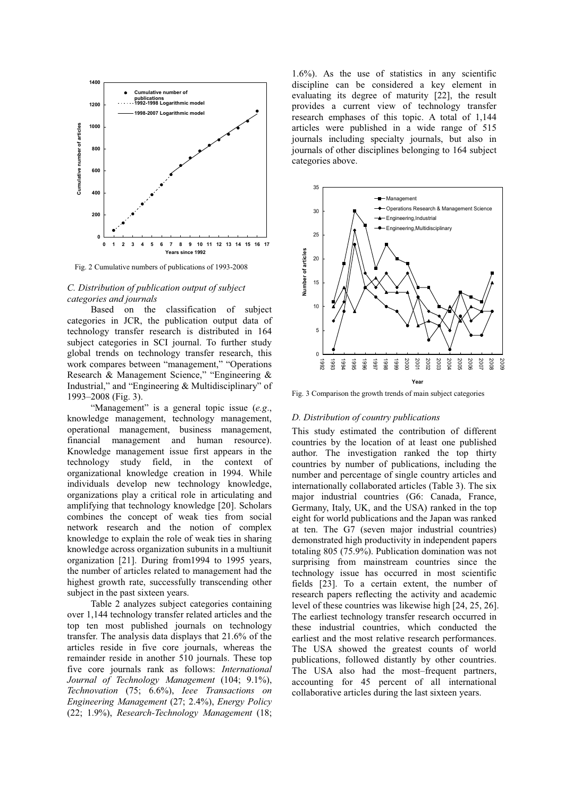

Fig. 2 Cumulative numbers of publications of 1993-2008

### *C. Distribution of publication output of subject categories and journals*

Based on the classification of subject categories in JCR, the publication output data of technology transfer research is distributed in 164 subject categories in SCI journal. To further study global trends on technology transfer research, this work compares between "management," "Operations Research & Management Science," "Engineering & Industrial," and "Engineering & Multidisciplinary" of 1993–2008 (Fig. 3).

"Management" is a general topic issue (*e.g*., knowledge management, technology management, operational management, business management, financial management and human resource). Knowledge management issue first appears in the technology study field, in the context of organizational knowledge creation in 1994. While individuals develop new technology knowledge, organizations play a critical role in articulating and amplifying that technology knowledge [20]. Scholars combines the concept of weak ties from social network research and the notion of complex knowledge to explain the role of weak ties in sharing knowledge across organization subunits in a multiunit organization [21]. During from1994 to 1995 years, the number of articles related to management had the highest growth rate, successfully transcending other subject in the past sixteen years.

Table 2 analyzes subject categories containing over 1,144 technology transfer related articles and the top ten most published journals on technology transfer. The analysis data displays that 21.6% of the articles reside in five core journals, whereas the remainder reside in another 510 journals. These top five core journals rank as follows: *International Journal of Technology Management* (104; 9.1%), *Technovation* (75; 6.6%), *Ieee Transactions on Engineering Management* (27; 2.4%), *Energy Policy* (22; 1.9%), *Research-Technology Management* (18;

1.6%). As the use of statistics in any scientific discipline can be considered a key element in evaluating its degree of maturity [22], the result provides a current view of technology transfer research emphases of this topic. A total of 1,144 articles were published in a wide range of 515 journals including specialty journals, but also in journals of other disciplines belonging to 164 subject categories above.



Fig. 3 Comparison the growth trends of main subject categories

### *D. Distribution of country publications*

This study estimated the contribution of different countries by the location of at least one published author. The investigation ranked the top thirty countries by number of publications, including the number and percentage of single country articles and internationally collaborated articles (Table 3). The six major industrial countries (G6: Canada, France, Germany, Italy, UK, and the USA) ranked in the top eight for world publications and the Japan was ranked at ten. The G7 (seven major industrial countries) demonstrated high productivity in independent papers totaling 805 (75.9%). Publication domination was not surprising from mainstream countries since the technology issue has occurred in most scientific fields [23]. To a certain extent, the number of research papers reflecting the activity and academic level of these countries was likewise high [24, 25, 26]. The earliest technology transfer research occurred in these industrial countries, which conducted the earliest and the most relative research performances. The USA showed the greatest counts of world publications, followed distantly by other countries. The USA also had the most–frequent partners, accounting for 45 percent of all international collaborative articles during the last sixteen years.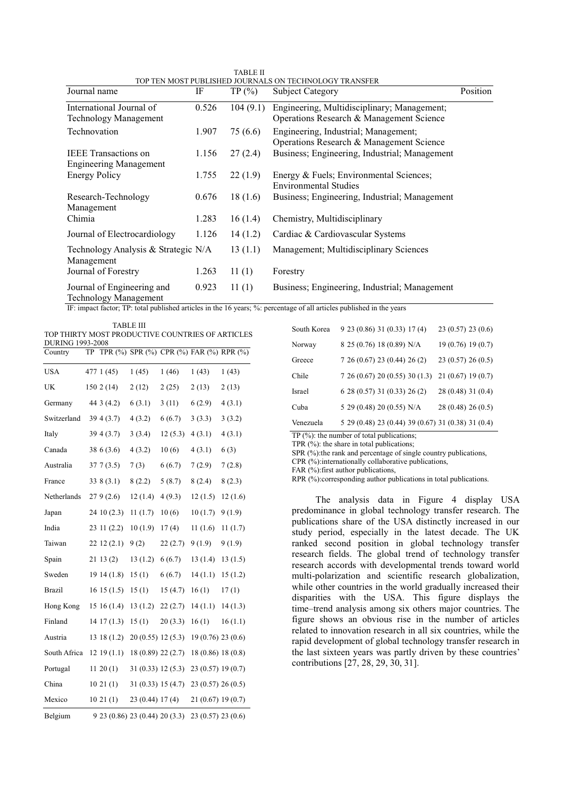| <b>TABLE II</b>                                        |
|--------------------------------------------------------|
| TOP TEN MOST PUBLISHED JOURNALS ON TECHNOLOGY TRANSFER |

| Journal name                        | IF    | TP(%)    | Subject Category                              | Position |
|-------------------------------------|-------|----------|-----------------------------------------------|----------|
| International Journal of            | 0.526 | 104(9.1) | Engineering, Multidisciplinary; Management;   |          |
| <b>Technology Management</b>        |       |          | Operations Research & Management Science      |          |
| Technovation                        | 1.907 | 75 (6.6) | Engineering, Industrial; Management;          |          |
|                                     |       |          | Operations Research & Management Science      |          |
| <b>IEEE</b> Transactions on         | 1.156 | 27(2.4)  | Business; Engineering, Industrial; Management |          |
| <b>Engineering Management</b>       |       |          |                                               |          |
| <b>Energy Policy</b>                | 1.755 | 22(1.9)  | Energy & Fuels; Environmental Sciences;       |          |
|                                     |       |          | <b>Environmental Studies</b>                  |          |
| Research-Technology                 | 0.676 | 18(1.6)  | Business; Engineering, Industrial; Management |          |
| Management                          |       |          |                                               |          |
| Chimia                              | 1.283 | 16(1.4)  | Chemistry, Multidisciplinary                  |          |
| Journal of Electrocardiology        | 1.126 | 14(1.2)  | Cardiac & Cardiovascular Systems              |          |
| Technology Analysis & Strategic N/A |       | 13(1.1)  | Management; Multidisciplinary Sciences        |          |
| Management                          |       |          |                                               |          |
| Journal of Forestry                 | 1.263 | 11(1)    | Forestry                                      |          |
| Journal of Engineering and          | 0.923 | 11(1)    | Business; Engineering, Industrial; Management |          |
| <b>Technology Management</b>        |       |          |                                               |          |

IF: impact factor; TP: total published articles in the 16 years; %: percentage of all articles published in the years

TABLE III TOP THIRTY MOST PRODUCTIVE COUNTRIES OF ARTICLES DURING 1002-2008

| <b>JIMINU 177J-2000</b><br>Country | TP |                  |                                |         |                    | TPR (%) SPR (%) CPR (%) FAR (%) RPR (%) |
|------------------------------------|----|------------------|--------------------------------|---------|--------------------|-----------------------------------------|
| <b>USA</b>                         |    | 477 1 (45)       | 1(45)                          | 1(46)   | 1(43)              | 1(43)                                   |
| <b>UK</b>                          |    | 1502(14)         | 2(12)                          | 2(25)   | 2(13)              | 2(13)                                   |
| Germany                            |    | 44 3 (4.2)       | 6(3.1)                         | 3(11)   | 6(2.9)             | 4(3.1)                                  |
| Switzerland                        |    | 394(3.7)         | 4(3.2)                         | 6(6.7)  | 3(3.3)             | 3(3.2)                                  |
| Italy                              |    | 39 4 (3.7)       | 3(3.4)                         | 12(5.3) | 4(3.1)             | 4(3.1)                                  |
| Canada                             |    | 38 6 (3.6)       | 4(3.2)                         | 10(6)   | 4(3.1)             | 6(3)                                    |
| Australia                          |    | 377(3.5)         | 7(3)                           | 6(6.7)  | 7(2.9)             | 7(2.8)                                  |
| France                             |    | 338(3.1)         | 8(2.2)                         | 5(8.7)  | 8(2.4)             | 8(2.3)                                  |
| Netherlands                        |    | 279(2.6)         | 12(1.4)                        | 4(9.3)  | 12(1.5)            | 12(1.6)                                 |
| Japan                              |    | 24 10 (2.3)      | 11(1.7)                        | 10(6)   | 10(1.7)            | 9(1.9)                                  |
| India                              |    | 23 11 (2.2)      | 10(1.9)                        | 17(4)   | 11(1.6)            | 11(1.7)                                 |
| Taiwan                             |    | 2212(2.1)        | 9(2)                           | 22(2.7) | 9(1.9)             | 9(1.9)                                  |
| Spain                              |    | 2113(2)          | 13(1.2)                        | 6(6.7)  | 13(1.4)            | 13(1.5)                                 |
| Sweden                             |    | 1914(1.8)        | 15(1)                          | 6(6.7)  | 14(1.1)            | 15(1.2)                                 |
| <b>Brazil</b>                      |    | 1615(1.5)        | 15(1)                          | 15(4.7) | 16(1)              | 17(1)                                   |
| Hong Kong                          |    | 1516(1.4)        | 13(1.2)                        | 22(2.7) | 14(1.1)            | 14(1.3)                                 |
| Finland                            |    | 14 17 (1.3)      | 15(1)                          | 20(3.3) | 16(1)              | 16(1.1)                                 |
| Austria                            |    | 13 18 (1.2)      | 20 (0.55) 12 (5.3)             |         | 19(0.76) 23(0.6)   |                                         |
| South Africa                       |    | $12\;19\; (1.1)$ | 18 (0.89) 22 (2.7)             |         | 18(0.86) 18(0.8)   |                                         |
| Portugal                           |    | $11\ 20\ (1)$    | 31 (0.33) 12 (5.3)             |         | 23 (0.57) 19 (0.7) |                                         |
| China                              |    | 1021(1)          | 31(0.33) 15(4.7)               |         | 23 (0.57) 26 (0.5) |                                         |
| Mexico                             |    | 1021(1)          | 23 (0.44) 17 (4)               |         | 21(0.67)19(0.7)    |                                         |
| Belgium                            |    |                  | 9 23 (0.86) 23 (0.44) 20 (3.3) |         | 23 (0.57) 23 (0.6) |                                         |

| South Korea | 9 23 (0.86) 31 (0.33) 17 (4)                       | 23(0.57) 23(0.6)   |
|-------------|----------------------------------------------------|--------------------|
| Norway      | 8 25 (0.76) 18 (0.89) N/A                          | 19 (0.76) 19 (0.7) |
| Greece      | 7 26 (0.67) 23 (0.44) 26 (2)                       | 23(0.57) 26(0.5)   |
| Chile       | 7 26 (0.67) 20 (0.55) 30 (1.3)                     | 21(0.67)19(0.7)    |
| Israel      | 6 28 (0.57) 31 (0.33) 26 (2)                       | 28 (0.48) 31 (0.4) |
| Cuba        | 5 29 (0.48) 20 (0.55) N/A                          | 28 (0.48) 26 (0.5) |
| Venezuela   | 5 29 (0.48) 23 (0.44) 39 (0.67) 31 (0.38) 31 (0.4) |                    |

TP (%): the number of total publications;

TPR  $(%)$ : the share in total publications:

SPR  $(\%)$ :the rank and percentage of single country publications,

CPR (%):internationally collaborative publications,

FAR (%): first author publications,

RPR (%):corresponding author publications in total publications.

The analysis data in Figure 4 display USA predominance in global technology transfer research. The publications share of the USA distinctly increased in our study period, especially in the latest decade. The UK ranked second position in global technology transfer research fields. The global trend of technology transfer research accords with developmental trends toward world multi-polarization and scientific research globalization, while other countries in the world gradually increased their disparities with the USA. This figure displays the time–trend analysis among six others major countries. The figure shows an obvious rise in the number of articles related to innovation research in all six countries, while the rapid development of global technology transfer research in the last sixteen years was partly driven by these countries' contributions [27, 28, 29, 30, 31].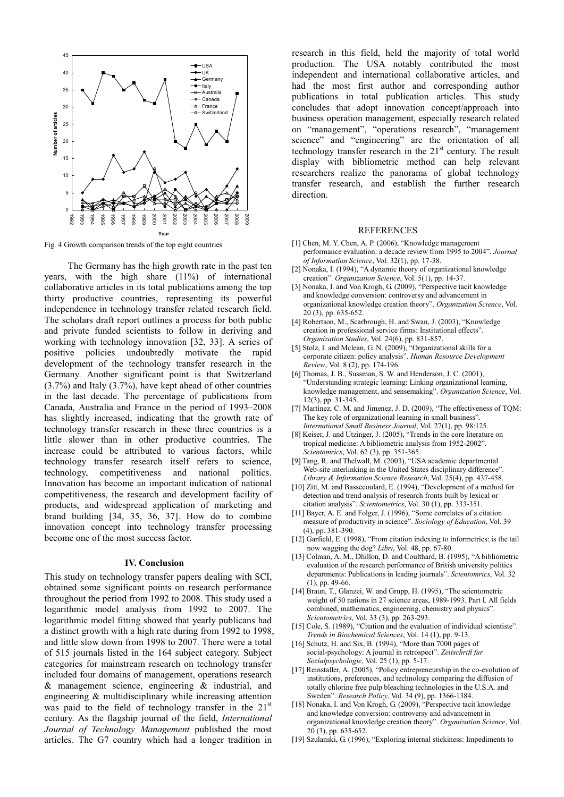

Fig. 4 Growth comparison trends of the top eight countries

The Germany has the high growth rate in the past ten years, with the high share (11%) of international collaborative articles in its total publications among the top thirty productive countries, representing its powerful independence in technology transfer related research field. The scholars draft report outlines a process for both public and private funded scientists to follow in deriving and working with technology innovation [32, 33]. A series of positive policies undoubtedly motivate the rapid development of the technology transfer research in the Germany. Another significant point is that Switzerland (3.7%) and Italy (3.7%), have kept ahead of other countries in the last decade. The percentage of publications from Canada, Australia and France in the period of 1993–2008 has slightly increased, indicating that the growth rate of technology transfer research in these three countries is a little slower than in other productive countries. The increase could be attributed to various factors, while technology transfer research itself refers to science, technology, competitiveness and national politics. Innovation has become an important indication of national competitiveness, the research and development facility of products, and widespread application of marketing and brand building [34, 35, 36, 37]. How do to combine innovation concept into technology transfer processing become one of the most success factor.

**IV. Conclusion**  This study on technology transfer papers dealing with SCI, obtained some significant points on research performance throughout the period from 1992 to 2008. This study used a logarithmic model analysis from 1992 to 2007. The logarithmic model fitting showed that yearly publicans had a distinct growth with a high rate during from 1992 to 1998, and little slow down from 1998 to 2007. There were a total of 515 journals listed in the 164 subject category. Subject categories for mainstream research on technology transfer included four domains of management, operations research & management science, engineering & industrial, and engineering & multidisciplinary while increasing attention was paid to the field of technology transfer in the 21<sup>st</sup> century. As the flagship journal of the field, *International Journal of Technology Management* published the most articles. The G7 country which had a longer tradition in

research in this field, held the majority of total world production. The USA notably contributed the most independent and international collaborative articles, and had the most first author and corresponding author publications in total publication articles. This study concludes that adopt innovation concept/approach into business operation management, especially research related on "management", "operations research", "management science" and "engineering" are the orientation of all technology transfer research in the  $21<sup>st</sup>$  century. The result display with bibliometric method can help relevant researchers realize the panorama of global technology transfer research, and establish the further research direction.

#### REFERENCES

- [1] Chen, M. Y. Chen, A. P. (2006), "Knowledge management performance evaluation: a decade review from 1995 to 2004". *Journal of Information Science*, Vol. 32(1), pp. 17-38.
- [2] Nonaka, I. (1994), "A dynamic theory of organizational knowledge creation". *Organization Science*, Vol. 5(1), pp. 14-37.
- [3] Nonaka, I. and Von Krogh, G. (2009), "Perspective tacit knowledge and knowledge conversion: controversy and advancement in organizational knowledge creation theory". *Organization Science*, Vol. 20 (3), pp. 635-652.
- [4] Robertson, M., Scarbrough, H. and Swan, J. (2003), "Knowledge creation in professional service firms: Institutional effects". *Organization Studies*, Vol. 24(6), pp. 831-857.
- [5] Stolz, I. and Mclean, G. N. (2009), "Organizational skills for a corporate citizen: policy analysis". *Human Resource Development Review*, Vol. 8 (2), pp. 174-196.
- [6] Thomas, J. B., Sussman, S. W. and Henderson, J. C. (2001), "Understanding strategic learning: Linking organizational learning, knowledge management, and sensemaking". *Organization Science*, Vol. 12(3), pp. 31-345.
- [7] Martinez, C. M. and Jimenez, J. D. (2009), "The effectiveness of TQM: The key role of organizational learning in small business". *International Small Business Journal*, Vol. 27(1), pp. 98:125.
- [8] Keiser, J. and Utzinger, J. (2005), "Trends in the core literature on tropical medicine: A bibliometric analysis from 1952-2002". *Scientomrics*, Vol. 62 (3), pp. 351-365.
- [9] Tang, R. and Thelwall, M. (2003), "USA academic departmental Web-site interlinking in the United States disciplinary difference". *Library & Information Science Research*, Vol. 25(4), pp. 437-458.
- [10] Zitt, M. and Bassecoulard, E. (1994), "Development of a method for detection and trend analysis of research fronts built by lexical or citation analysis". *Scientometrics*, Vol. 30 (1), pp. 333-351.
- [11] Bayer, A. E. and Folger, J. (1996), "Some correlates of a citation measure of productivity in science". *Sociology of Education*, Vol. 39 (4), pp. 381-390.
- [12] Garfield, E. (1998), "From citation indexing to informetrics: is the tail now wagging the dog? *Libri*, Vol. 48, pp. 67-80.
- [13] Colman, A. M., Dhillon, D. and Coulthard, B. (1995), "A bibliometric evaluation of the research performance of British university politics departments: Publications in leading journals". *Scientomrics*, Vol. 32 (1), pp. 49-66.
- [14] Braun, T., Glanzei, W. and Grupp, H. (1995), "The scientometric weight of 50 nations in 27 science areas, 1989-1993. Part I. All fields combined, mathematics, engineering, chemistry and physics". *Scientometrics*, Vol. 33 (3), pp. 263-293.
- [15] Cole, S. (1989), "Citation and the evaluation of individual scientiste". *Trends in Biochemical Sciences*, Vol. 14 (1), pp. 9-13.
- [16] Schutz, H. and Six, B. (1994), "More than 7000 pages of social-psychology: A journal in retrospect". *Zeitschrift fur Sozialpsychologie*, Vol. 25 (1), pp. 5-17.
- [17] Reinstaller, A. (2005), "Policy entrepreneurship in the co-evolution of institutions, preferences, and technology comparing the diffusion of totally chlorine free pulp bleaching technologies in the U.S.A. and Sweden". *Research Policy*, Vol. 34 (9), pp. 1366-1384.
- [18] Nonaka, I. and Von Krogh, G. (2009), "Perspective tacit knowledge and knowledge conversion: controversy and advancement in organizational knowledge creation theory". *Organization Science*, Vol.  $20(3)$ , pp. 635-652.
- [19] Szulanski, G. (1996), "Exploring internal stickiness: Impediments to